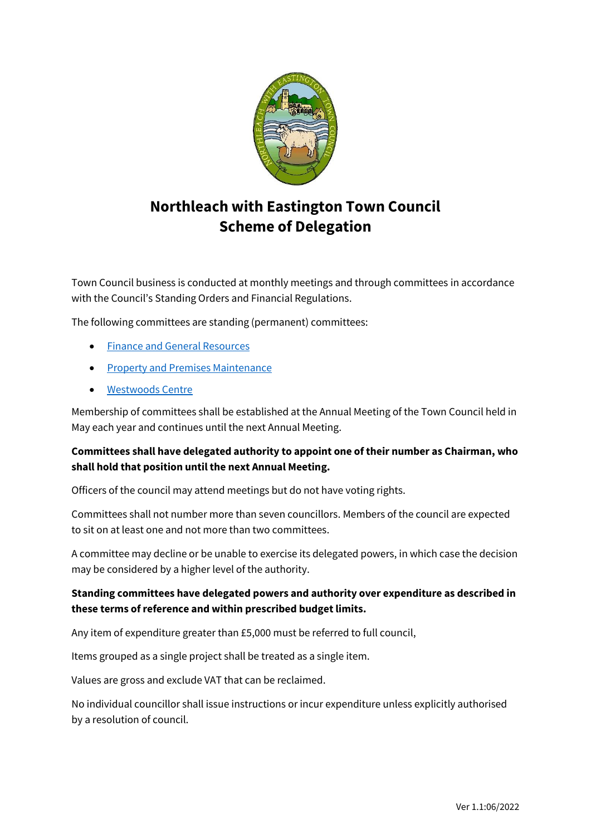

# **Northleach with Eastington Town Council Scheme of Delegation**

Town Council business is conducted at monthly meetings and through committees in accordance with the Council's Standing Orders and Financial Regulations.

The following committees are standing (permanent) committees:

- Finance and [General Resources](#page-1-0)
- [Property and Premises Maintenance](#page-3-0)
- [Westwoods](#page-4-0) Centre

Membership of committees shall be established at the Annual Meeting of the Town Council held in May each year and continues until the next Annual Meeting.

# **Committees shall have delegated authority to appoint one of their number as Chairman, who shall hold that position until the next Annual Meeting.**

Officers of the council may attend meetings but do not have voting rights.

Committees shall not number more than seven councillors. Members of the council are expected to sit on at least one and not more than two committees.

A committee may decline or be unable to exercise its delegated powers, in which case the decision may be considered by a higher level of the authority.

# **Standing committees have delegated powers and authority over expenditure as described in these terms of reference and within prescribed budget limits.**

Any item of expenditure greater than £5,000 must be referred to full council,

Items grouped as a single project shall be treated as a single item.

Values are gross and exclude VAT that can be reclaimed.

No individual councillor shall issue instructions or incur expenditure unless explicitly authorised by a resolution of council.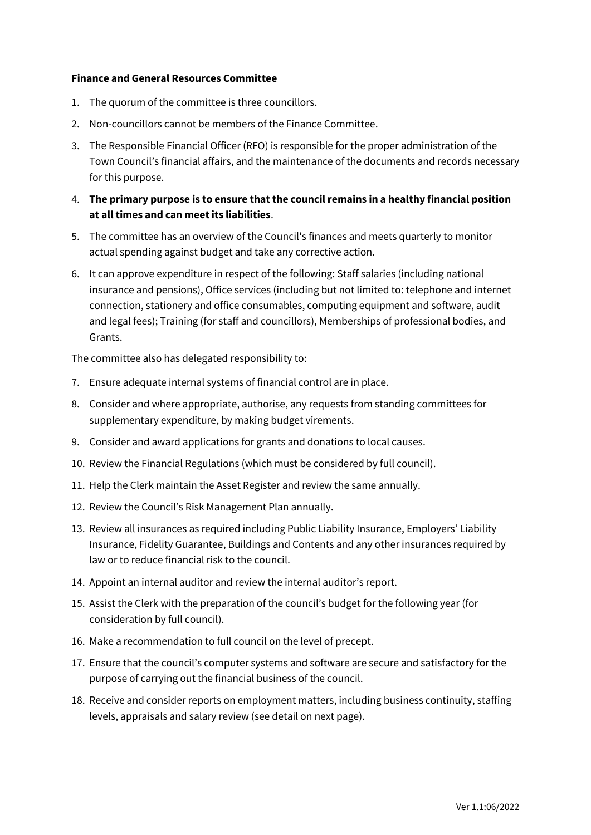#### <span id="page-1-0"></span>**Finance and General Resources Committee**

- 1. The quorum of the committee is three councillors.
- 2. Non-councillors cannot be members of the Finance Committee.
- 3. The Responsible Financial Officer (RFO) is responsible for the proper administration of the Town Council's financial affairs, and the maintenance of the documents and records necessary for this purpose.
- 4. **The primary purpose is to ensure that the council remains in a healthy financial position at all times and can meet its liabilities**.
- 5. The committee has an overview of the Council's finances and meets quarterly to monitor actual spending against budget and take any corrective action.
- 6. It can approve expenditure in respect of the following: Staff salaries (including national insurance and pensions), Office services (including but not limited to: telephone and internet connection, stationery and office consumables, computing equipment and software, audit and legal fees); Training (for staff and councillors), Memberships of professional bodies, and Grants.

The committee also has delegated responsibility to:

- 7. Ensure adequate internal systems of financial control are in place.
- 8. Consider and where appropriate, authorise, any requests from standing committees for supplementary expenditure, by making budget virements.
- 9. Consider and award applications for grants and donations to local causes.
- 10. Review the Financial Regulations (which must be considered by full council).
- 11. Help the Clerk maintain the Asset Register and review the same annually.
- 12. Review the Council's Risk Management Plan annually.
- 13. Review all insurances as required including Public Liability Insurance, Employers' Liability Insurance, Fidelity Guarantee, Buildings and Contents and any other insurances required by law or to reduce financial risk to the council.
- 14. Appoint an internal auditor and review the internal auditor's report.
- 15. Assist the Clerk with the preparation of the council's budget for the following year (for consideration by full council).
- 16. Make a recommendation to full council on the level of precept.
- 17. Ensure that the council's computer systems and software are secure and satisfactory for the purpose of carrying out the financial business of the council.
- 18. Receive and consider reports on employment matters, including business continuity, staffing levels, appraisals and salary review (see detail on next page).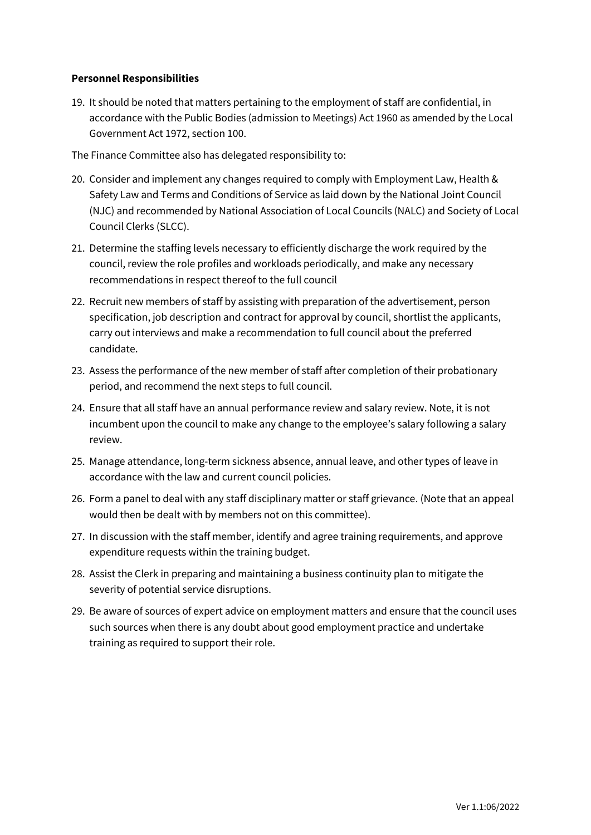# **Personnel Responsibilities**

19. It should be noted that matters pertaining to the employment of staff are confidential, in accordance with the Public Bodies (admission to Meetings) Act 1960 as amended by the Local Government Act 1972, section 100.

The Finance Committee also has delegated responsibility to:

- 20. Consider and implement any changes required to comply with Employment Law, Health & Safety Law and Terms and Conditions of Service as laid down by the National Joint Council (NJC) and recommended by National Association of Local Councils (NALC) and Society of Local Council Clerks (SLCC).
- 21. Determine the staffing levels necessary to efficiently discharge the work required by the council, review the role profiles and workloads periodically, and make any necessary recommendations in respect thereof to the full council
- 22. Recruit new members of staff by assisting with preparation of the advertisement, person specification, job description and contract for approval by council, shortlist the applicants, carry out interviews and make a recommendation to full council about the preferred candidate.
- 23. Assess the performance of the new member of staff after completion of their probationary period, and recommend the next steps to full council.
- 24. Ensure that all staff have an annual performance review and salary review. Note, it is not incumbent upon the council to make any change to the employee's salary following a salary review.
- 25. Manage attendance, long-term sickness absence, annual leave, and other types of leave in accordance with the law and current council policies.
- 26. Form a panel to deal with any staff disciplinary matter or staff grievance. (Note that an appeal would then be dealt with by members not on this committee).
- 27. In discussion with the staff member, identify and agree training requirements, and approve expenditure requests within the training budget.
- 28. Assist the Clerk in preparing and maintaining a business continuity plan to mitigate the severity of potential service disruptions.
- 29. Be aware of sources of expert advice on employment matters and ensure that the council uses such sources when there is any doubt about good employment practice and undertake training as required to support their role.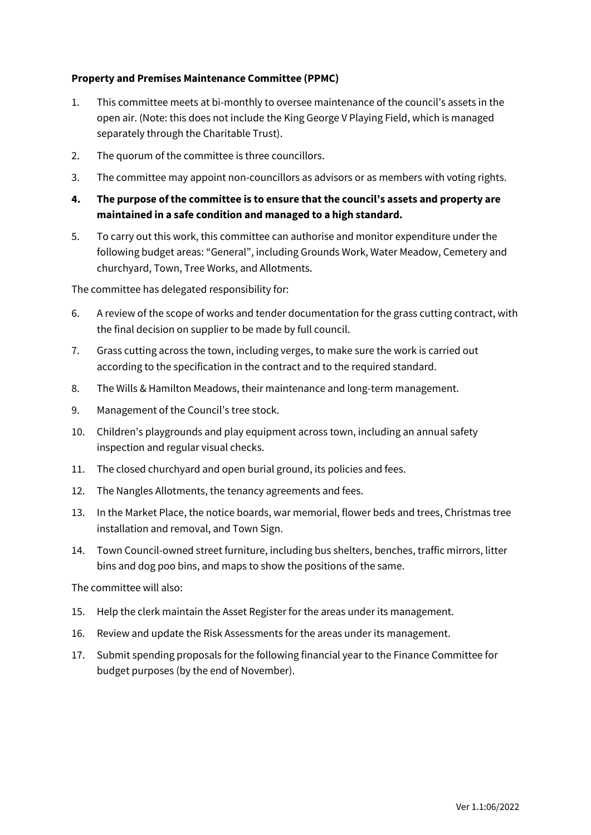# <span id="page-3-0"></span>**Property and Premises Maintenance Committee (PPMC)**

- 1. This committee meets at bi-monthly to oversee maintenance of the council's assets in the open air. (Note: this does not include the King George V Playing Field, which is managed separately through the Charitable Trust).
- 2. The quorum of the committee is three councillors.
- 3. The committee may appoint non-councillors as advisors or as members with voting rights.
- **4. The purpose of the committee is to ensure that the council's assets and property are maintained in a safe condition and managed to a high standard.**
- 5. To carry out this work, this committee can authorise and monitor expenditure under the following budget areas: "General", including Grounds Work, Water Meadow, Cemetery and churchyard, Town, Tree Works, and Allotments.

The committee has delegated responsibility for:

- 6. A review of the scope of works and tender documentation for the grass cutting contract, with the final decision on supplier to be made by full council.
- 7. Grass cutting across the town, including verges, to make sure the work is carried out according to the specification in the contract and to the required standard.
- 8. The Wills & Hamilton Meadows, their maintenance and long-term management.
- 9. Management of the Council's tree stock.
- 10. Children's playgrounds and play equipment across town, including an annual safety inspection and regular visual checks.
- 11. The closed churchyard and open burial ground, its policies and fees.
- 12. The Nangles Allotments, the tenancy agreements and fees.
- 13. In the Market Place, the notice boards, war memorial, flower beds and trees, Christmas tree installation and removal, and Town Sign.
- 14. Town Council-owned street furniture, including bus shelters, benches, traffic mirrors, litter bins and dog poo bins, and maps to show the positions of the same.

The committee will also:

- 15. Help the clerk maintain the Asset Register for the areas under its management.
- 16. Review and update the Risk Assessments for the areas under its management.
- 17. Submit spending proposals for the following financial year to the Finance Committee for budget purposes (by the end of November).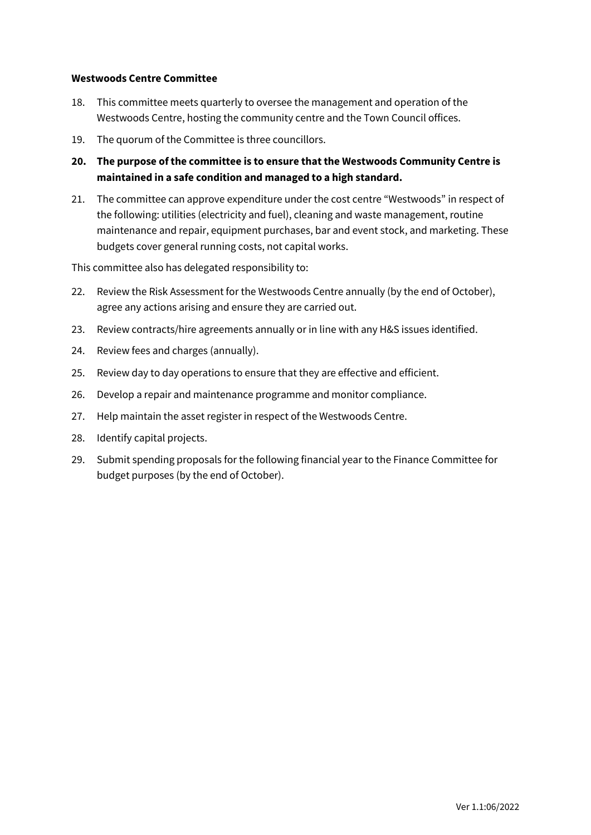## <span id="page-4-0"></span>**Westwoods Centre Committee**

- 18. This committee meets quarterly to oversee the management and operation of the Westwoods Centre, hosting the community centre and the Town Council offices.
- 19. The quorum of the Committee is three councillors.
- **20. The purpose of the committee is to ensure that the Westwoods Community Centre is maintained in a safe condition and managed to a high standard.**
- 21. The committee can approve expenditure under the cost centre "Westwoods" in respect of the following: utilities (electricity and fuel), cleaning and waste management, routine maintenance and repair, equipment purchases, bar and event stock, and marketing. These budgets cover general running costs, not capital works.

This committee also has delegated responsibility to:

- 22. Review the Risk Assessment for the Westwoods Centre annually (by the end of October), agree any actions arising and ensure they are carried out.
- 23. Review contracts/hire agreements annually or in line with any H&S issues identified.
- 24. Review fees and charges (annually).
- 25. Review day to day operations to ensure that they are effective and efficient.
- 26. Develop a repair and maintenance programme and monitor compliance.
- 27. Help maintain the asset register in respect of the Westwoods Centre.
- 28. Identify capital projects.
- 29. Submit spending proposals for the following financial year to the Finance Committee for budget purposes (by the end of October).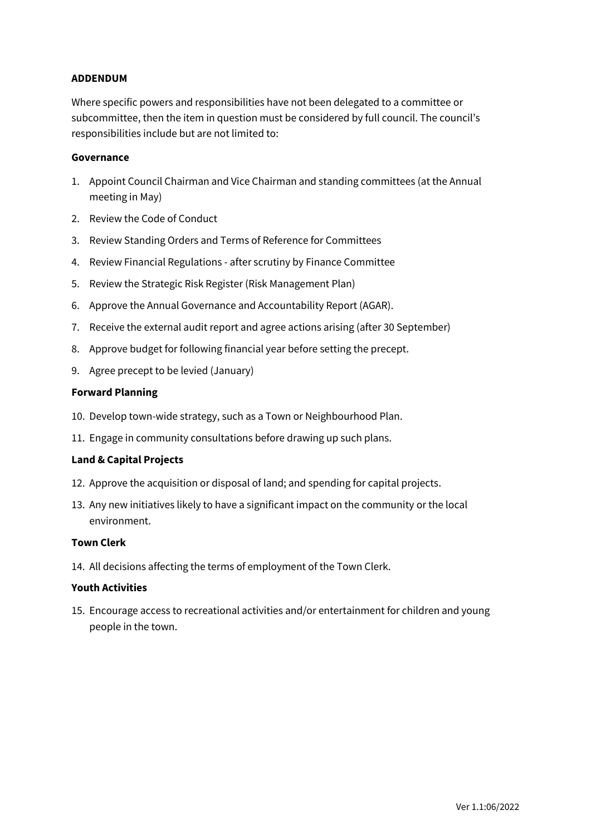## **ADDENDUM**

Where specific powers and responsibilities have not been delegated to a committee or subcommittee, then the item in question must be considered by full council. The council's responsibilities include but are not limited to:

#### **Governance**

- 1. Appoint Council Chairman and Vice Chairman and standing committees (at the Annual meeting in May)
- 2. Review the Code of Conduct
- 3. Review Standing Orders and Terms of Reference for Committees
- 4. Review Financial Regulations after scrutiny by Finance Committee
- 5. Review the Strategic Risk Register (Risk Management Plan)
- 6. Approve the Annual Governance and Accountability Report (AGAR).
- 7. Receive the external audit report and agree actions arising (after 30 September)
- 8. Approve budget for following financial year before setting the precept.
- 9. Agree precept to be levied (January)

#### **Forward Planning**

- 10. Develop town-wide strategy, such as a Town or Neighbourhood Plan.
- 11. Engage in community consultations before drawing up such plans.

#### **Land & Capital Projects**

- 12. Approve the acquisition or disposal of land; and spending for capital projects.
- 13. Any new initiatives likely to have a significant impact on the community or the local environment.

# **Town Clerk**

14. All decisions affecting the terms of employment of the Town Clerk.

#### **Youth Activities**

15. Encourage access to recreational activities and/or entertainment for children and young people in the town.